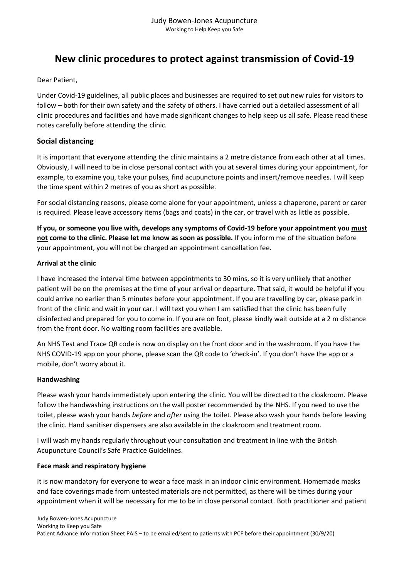# **New clinic procedures to protect against transmission of Covid-19**

Dear Patient,

Under Covid-19 guidelines, all public places and businesses are required to set out new rules for visitors to follow – both for their own safety and the safety of others. I have carried out a detailed assessment of all clinic procedures and facilities and have made significant changes to help keep us all safe. Please read these notes carefully before attending the clinic*.* 

## **Social distancing**

It is important that everyone attending the clinic maintains a 2 metre distance from each other at all times. Obviously, I will need to be in close personal contact with you at several times during your appointment, for example, to examine you, take your pulses, find acupuncture points and insert/remove needles. I will keep the time spent within 2 metres of you as short as possible.

For social distancing reasons, please come alone for your appointment, unless a chaperone, parent or carer is required. Please leave accessory items (bags and coats) in the car, or travel with as little as possible.

**If you, or someone you live with, develops any symptoms of Covid-19 before your appointment you must not come to the clinic. Please let me know as soon as possible.** If you inform me of the situation before your appointment, you will not be charged an appointment cancellation fee.

## **Arrival at the clinic**

I have increased the interval time between appointments to 30 mins, so it is very unlikely that another patient will be on the premises at the time of your arrival or departure. That said, it would be helpful if you could arrive no earlier than 5 minutes before your appointment. If you are travelling by car, please park in front of the clinic and wait in your car. I will text you when I am satisfied that the clinic has been fully disinfected and prepared for you to come in. If you are on foot, please kindly wait outside at a 2 m distance from the front door. No waiting room facilities are available.

An NHS Test and Trace QR code is now on display on the front door and in the washroom. If you have the NHS COVID-19 app on your phone, please scan the QR code to 'check-in'. If you don't have the app or a mobile, don't worry about it.

## **Handwashing**

Please wash your hands immediately upon entering the clinic. You will be directed to the cloakroom. Please follow the handwashing instructions on the wall poster recommended by the NHS. If you need to use the toilet, please wash your hands *before* and *after* using the toilet. Please also wash your hands before leaving the clinic. Hand sanitiser dispensers are also available in the cloakroom and treatment room.

I will wash my hands regularly throughout your consultation and treatment in line with the British Acupuncture Council's Safe Practice Guidelines.

## **Face mask and respiratory hygiene**

It is now mandatory for everyone to wear a face mask in an indoor clinic environment. Homemade masks and face coverings made from untested materials are not permitted, as there will be times during your appointment when it will be necessary for me to be in close personal contact. Both practitioner and patient